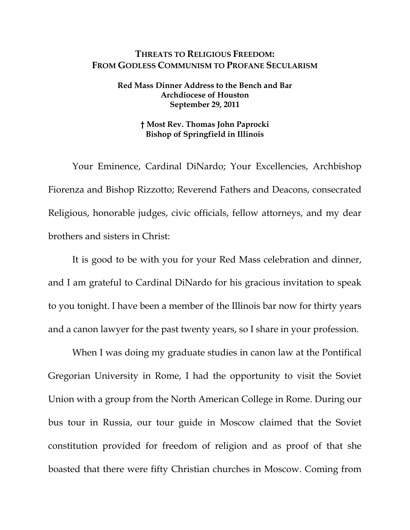## **THREATS TO RELIGIOUS FREEDOM: FROM GODLESS COMMUNISM TO PROFANE SECULARISM**

## **Red Mass Dinner Address to the Bench and Bar Archdiocese of Houston September 29, 2011**

## **† Most Rev. Thomas John Paprocki Bishop of Springfield in Illinois**

Your Eminence, Cardinal DiNardo; Your Excellencies, Archbishop Fiorenza and Bishop Rizzotto; Reverend Fathers and Deacons, consecrated Religious, honorable judges, civic officials, fellow attorneys, and my dear brothers and sisters in Christ:

It is good to be with you for your Red Mass celebration and dinner, and I am grateful to Cardinal DiNardo for his gracious invitation to speak to you tonight. I have been a member of the Illinois bar now for thirty years and a canon lawyer for the past twenty years, so I share in your profession.

When I was doing my graduate studies in canon law at the Pontifical Gregorian University in Rome, I had the opportunity to visit the Soviet Union with a group from the North American College in Rome. During our bus tour in Russia, our tour guide in Moscow claimed that the Soviet constitution provided for freedom of religion and as proof of that she boasted that there were fifty Christian churches in Moscow. Coming from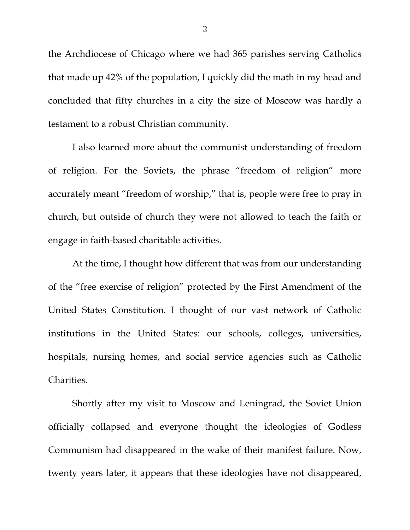the Archdiocese of Chicago where we had 365 parishes serving Catholics that made up 42% of the population, I quickly did the math in my head and concluded that fifty churches in a city the size of Moscow was hardly a testament to a robust Christian community.

I also learned more about the communist understanding of freedom of religion. For the Soviets, the phrase "freedom of religion" more accurately meant "freedom of worship," that is, people were free to pray in church, but outside of church they were not allowed to teach the faith or engage in faith-based charitable activities.

At the time, I thought how different that was from our understanding of the "free exercise of religion" protected by the First Amendment of the United States Constitution. I thought of our vast network of Catholic institutions in the United States: our schools, colleges, universities, hospitals, nursing homes, and social service agencies such as Catholic Charities.

Shortly after my visit to Moscow and Leningrad, the Soviet Union officially collapsed and everyone thought the ideologies of Godless Communism had disappeared in the wake of their manifest failure. Now, twenty years later, it appears that these ideologies have not disappeared,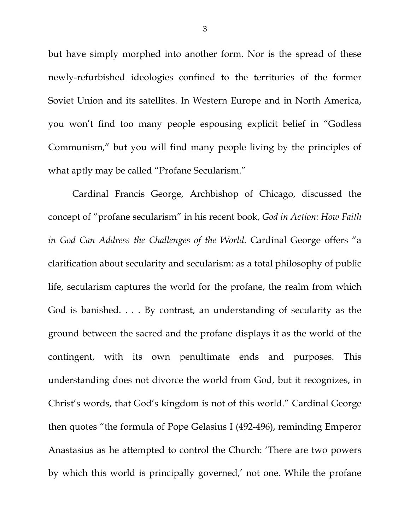but have simply morphed into another form. Nor is the spread of these newly-refurbished ideologies confined to the territories of the former Soviet Union and its satellites. In Western Europe and in North America, you won't find too many people espousing explicit belief in "Godless Communism," but you will find many people living by the principles of what aptly may be called "Profane Secularism."

Cardinal Francis George, Archbishop of Chicago, discussed the concept of "profane secularism" in his recent book, *God in Action: How Faith in God Can Address the Challenges of the World*. Cardinal George offers "a clarification about secularity and secularism: as a total philosophy of public life, secularism captures the world for the profane, the realm from which God is banished. . . . By contrast, an understanding of secularity as the ground between the sacred and the profane displays it as the world of the contingent, with its own penultimate ends and purposes. This understanding does not divorce the world from God, but it recognizes, in Christ's words, that God's kingdom is not of this world." Cardinal George then quotes "the formula of Pope Gelasius I (492-496), reminding Emperor Anastasius as he attempted to control the Church: 'There are two powers by which this world is principally governed,' not one. While the profane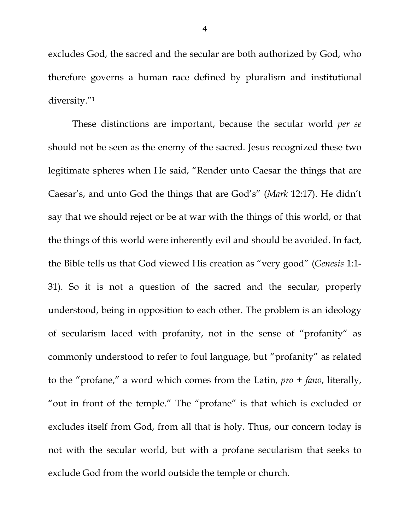excludes God, the sacred and the secular are both authorized by God, who therefore governs a human race defined by pluralism and institutional diversity."1

These distinctions are important, because the secular world *per se* should not be seen as the enemy of the sacred. Jesus recognized these two legitimate spheres when He said, "Render unto Caesar the things that are Caesar's, and unto God the things that are God's" (*Mark* 12:17). He didn't say that we should reject or be at war with the things of this world, or that the things of this world were inherently evil and should be avoided. In fact, the Bible tells us that God viewed His creation as "very good" (*Genesis* 1:1- 31). So it is not a question of the sacred and the secular, properly understood, being in opposition to each other. The problem is an ideology of secularism laced with profanity, not in the sense of "profanity" as commonly understood to refer to foul language, but "profanity" as related to the "profane," a word which comes from the Latin, *pro* + *fano*, literally, "out in front of the temple." The "profane" is that which is excluded or excludes itself from God, from all that is holy. Thus, our concern today is not with the secular world, but with a profane secularism that seeks to exclude God from the world outside the temple or church.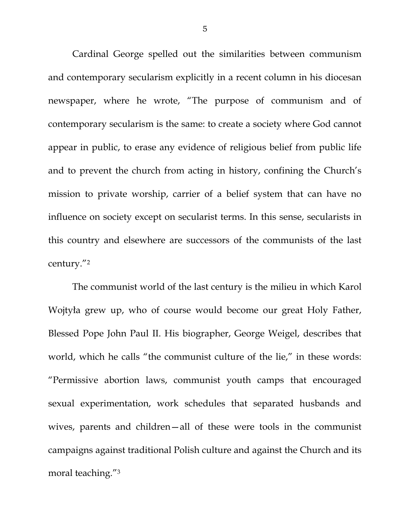Cardinal George spelled out the similarities between communism and contemporary secularism explicitly in a recent column in his diocesan newspaper, where he wrote, "The purpose of communism and of contemporary secularism is the same: to create a society where God cannot appear in public, to erase any evidence of religious belief from public life and to prevent the church from acting in history, confining the Church's mission to private worship, carrier of a belief system that can have no influence on society except on secularist terms. In this sense, secularists in this country and elsewhere are successors of the communists of the last century."2

The communist world of the last century is the milieu in which Karol Wojtyła grew up, who of course would become our great Holy Father, Blessed Pope John Paul II. His biographer, George Weigel, describes that world, which he calls "the communist culture of the lie," in these words: "Permissive abortion laws, communist youth camps that encouraged sexual experimentation, work schedules that separated husbands and wives, parents and children—all of these were tools in the communist campaigns against traditional Polish culture and against the Church and its moral teaching."3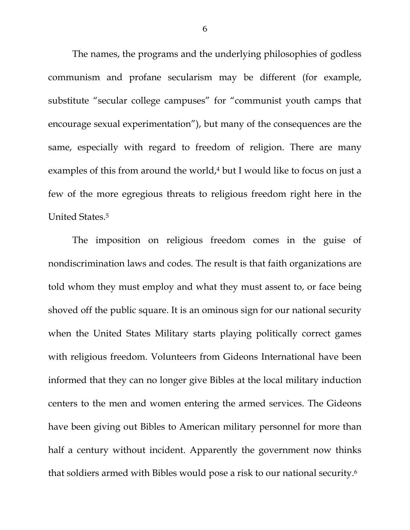The names, the programs and the underlying philosophies of godless communism and profane secularism may be different (for example, substitute "secular college campuses" for "communist youth camps that encourage sexual experimentation"), but many of the consequences are the same, especially with regard to freedom of religion. There are many examples of this from around the world, $4$  but I would like to focus on just a few of the more egregious threats to religious freedom right here in the United States.5

The imposition on religious freedom comes in the guise of nondiscrimination laws and codes. The result is that faith organizations are told whom they must employ and what they must assent to, or face being shoved off the public square. It is an ominous sign for our national security when the United States Military starts playing politically correct games with religious freedom. Volunteers from Gideons International have been informed that they can no longer give Bibles at the local military induction centers to the men and women entering the armed services. The Gideons have been giving out Bibles to American military personnel for more than half a century without incident. Apparently the government now thinks that soldiers armed with Bibles would pose a risk to our national security.6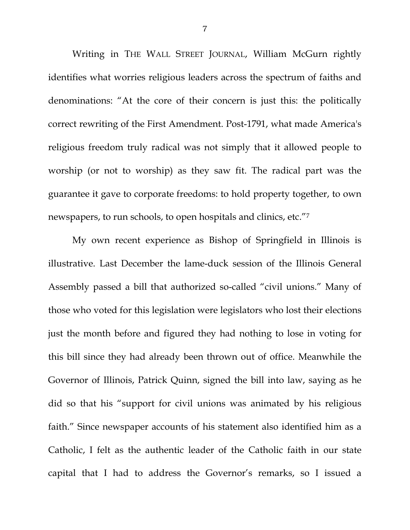Writing in THE WALL STREET JOURNAL, William McGurn rightly identifies what worries religious leaders across the spectrum of faiths and denominations: "At the core of their concern is just this: the politically correct rewriting of the First Amendment. Post-1791, what made America's religious freedom truly radical was not simply that it allowed people to worship (or not to worship) as they saw fit. The radical part was the guarantee it gave to corporate freedoms: to hold property together, to own newspapers, to run schools, to open hospitals and clinics, etc."7

My own recent experience as Bishop of Springfield in Illinois is illustrative. Last December the lame-duck session of the Illinois General Assembly passed a bill that authorized so-called "civil unions." Many of those who voted for this legislation were legislators who lost their elections just the month before and figured they had nothing to lose in voting for this bill since they had already been thrown out of office. Meanwhile the Governor of Illinois, Patrick Quinn, signed the bill into law, saying as he did so that his "support for civil unions was animated by his religious faith." Since newspaper accounts of his statement also identified him as a Catholic, I felt as the authentic leader of the Catholic faith in our state capital that I had to address the Governor's remarks, so I issued a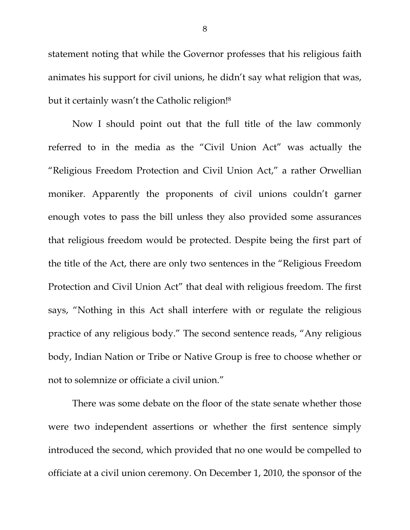statement noting that while the Governor professes that his religious faith animates his support for civil unions, he didn't say what religion that was, but it certainly wasn't the Catholic religion!8

Now I should point out that the full title of the law commonly referred to in the media as the "Civil Union Act" was actually the "Religious Freedom Protection and Civil Union Act," a rather Orwellian moniker. Apparently the proponents of civil unions couldn't garner enough votes to pass the bill unless they also provided some assurances that religious freedom would be protected. Despite being the first part of the title of the Act, there are only two sentences in the "Religious Freedom Protection and Civil Union Act" that deal with religious freedom. The first says, "Nothing in this Act shall interfere with or regulate the religious practice of any religious body." The second sentence reads, "Any religious body, Indian Nation or Tribe or Native Group is free to choose whether or not to solemnize or officiate a civil union."

There was some debate on the floor of the state senate whether those were two independent assertions or whether the first sentence simply introduced the second, which provided that no one would be compelled to officiate at a civil union ceremony. On December 1, 2010, the sponsor of the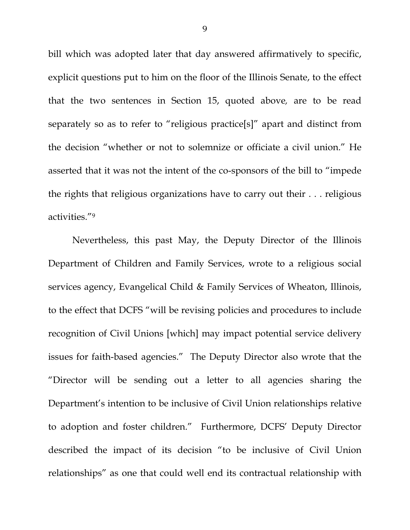bill which was adopted later that day answered affirmatively to specific, explicit questions put to him on the floor of the Illinois Senate, to the effect that the two sentences in Section 15, quoted above*,* are to be read separately so as to refer to "religious practice[s]" apart and distinct from the decision "whether or not to solemnize or officiate a civil union." He asserted that it was not the intent of the co-sponsors of the bill to "impede the rights that religious organizations have to carry out their . . . religious activities."9

Nevertheless, this past May, the Deputy Director of the Illinois Department of Children and Family Services, wrote to a religious social services agency, Evangelical Child & Family Services of Wheaton, Illinois, to the effect that DCFS "will be revising policies and procedures to include recognition of Civil Unions [which] may impact potential service delivery issues for faith-based agencies." The Deputy Director also wrote that the "Director will be sending out a letter to all agencies sharing the Department's intention to be inclusive of Civil Union relationships relative to adoption and foster children." Furthermore, DCFS' Deputy Director described the impact of its decision "to be inclusive of Civil Union relationships" as one that could well end its contractual relationship with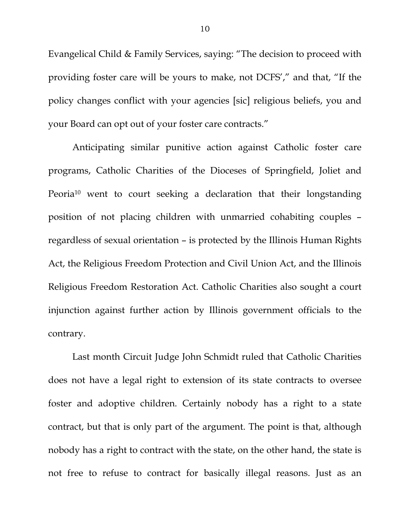Evangelical Child & Family Services, saying: "The decision to proceed with providing foster care will be yours to make, not DCFS'," and that, "If the policy changes conflict with your agencies [sic] religious beliefs, you and your Board can opt out of your foster care contracts."

Anticipating similar punitive action against Catholic foster care programs, Catholic Charities of the Dioceses of Springfield, Joliet and Peoria<sup>10</sup> went to court seeking a declaration that their longstanding position of not placing children with unmarried cohabiting couples – regardless of sexual orientation – is protected by the Illinois Human Rights Act, the Religious Freedom Protection and Civil Union Act, and the Illinois Religious Freedom Restoration Act. Catholic Charities also sought a court injunction against further action by Illinois government officials to the contrary.

Last month Circuit Judge John Schmidt ruled that Catholic Charities does not have a legal right to extension of its state contracts to oversee foster and adoptive children. Certainly nobody has a right to a state contract, but that is only part of the argument. The point is that, although nobody has a right to contract with the state, on the other hand, the state is not free to refuse to contract for basically illegal reasons. Just as an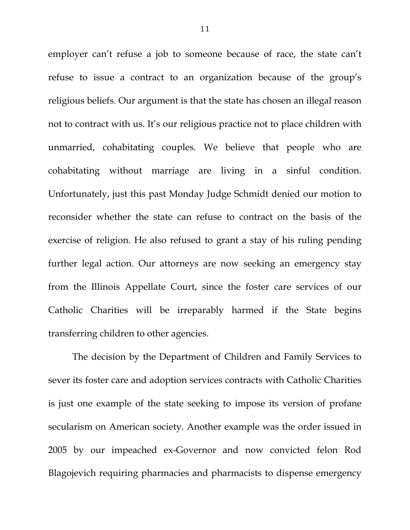employer can't refuse a job to someone because of race, the state can't refuse to issue a contract to an organization because of the group's religious beliefs. Our argument is that the state has chosen an illegal reason not to contract with us. It's our religious practice not to place children with unmarried, cohabitating couples. We believe that people who are cohabitating without marriage are living in a sinful condition. Unfortunately, just this past Monday Judge Schmidt denied our motion to reconsider whether the state can refuse to contract on the basis of the exercise of religion. He also refused to grant a stay of his ruling pending further legal action. Our attorneys are now seeking an emergency stay from the Illinois Appellate Court, since the foster care services of our Catholic Charities will be irreparably harmed if the State begins transferring children to other agencies.

The decision by the Department of Children and Family Services to sever its foster care and adoption services contracts with Catholic Charities is just one example of the state seeking to impose its version of profane secularism on American society. Another example was the order issued in 2005 by our impeached ex-Governor and now convicted felon Rod Blagojevich requiring pharmacies and pharmacists to dispense emergency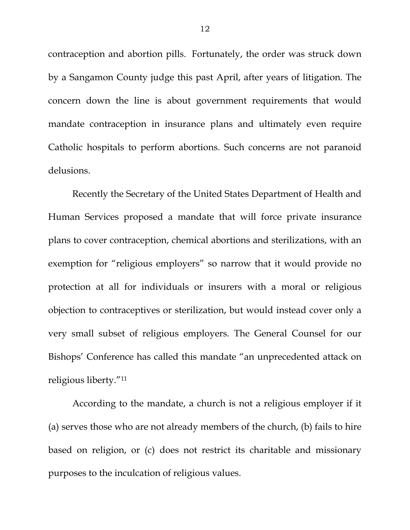contraception and abortion pills. Fortunately, the order was struck down by a Sangamon County judge this past April, after years of litigation. The concern down the line is about government requirements that would mandate contraception in insurance plans and ultimately even require Catholic hospitals to perform abortions. Such concerns are not paranoid delusions.

Recently the Secretary of the United States Department of Health and Human Services proposed a mandate that will force private insurance plans to cover contraception, chemical abortions and sterilizations, with an exemption for "religious employers" so narrow that it would provide no protection at all for individuals or insurers with a moral or religious objection to contraceptives or sterilization, but would instead cover only a very small subset of religious employers. The General Counsel for our Bishops' Conference has called this mandate "an unprecedented attack on religious liberty."11

According to the mandate, a church is not a religious employer if it (a) serves those who are not already members of the church, (b) fails to hire based on religion, or (c) does not restrict its charitable and missionary purposes to the inculcation of religious values.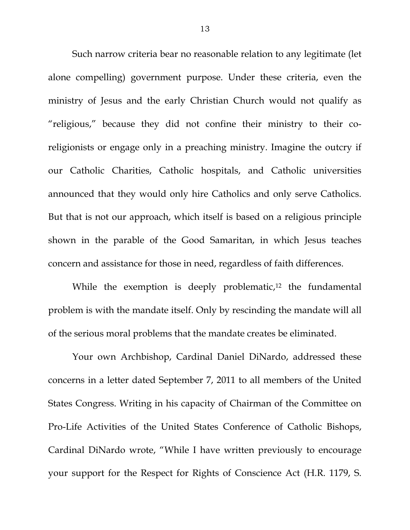Such narrow criteria bear no reasonable relation to any legitimate (let alone compelling) government purpose. Under these criteria, even the ministry of Jesus and the early Christian Church would not qualify as "religious," because they did not confine their ministry to their coreligionists or engage only in a preaching ministry. Imagine the outcry if our Catholic Charities, Catholic hospitals, and Catholic universities announced that they would only hire Catholics and only serve Catholics. But that is not our approach, which itself is based on a religious principle shown in the parable of the Good Samaritan, in which Jesus teaches concern and assistance for those in need, regardless of faith differences.

While the exemption is deeply problematic, $12$  the fundamental problem is with the mandate itself. Only by rescinding the mandate will all of the serious moral problems that the mandate creates be eliminated.

Your own Archbishop, Cardinal Daniel DiNardo, addressed these concerns in a letter dated September 7, 2011 to all members of the United States Congress. Writing in his capacity of Chairman of the Committee on Pro-Life Activities of the United States Conference of Catholic Bishops, Cardinal DiNardo wrote, "While I have written previously to encourage your support for the Respect for Rights of Conscience Act (H.R. 1179, S.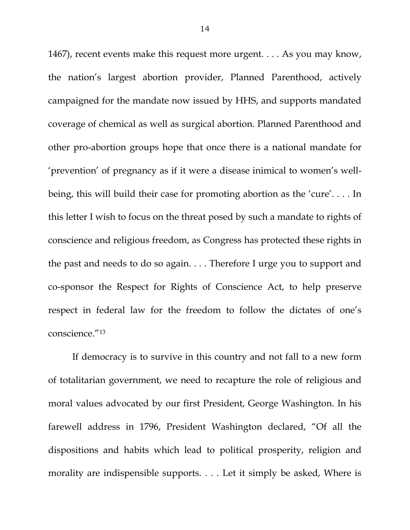1467), recent events make this request more urgent. . . . As you may know, the nation's largest abortion provider, Planned Parenthood, actively campaigned for the mandate now issued by HHS, and supports mandated coverage of chemical as well as surgical abortion. Planned Parenthood and other pro-abortion groups hope that once there is a national mandate for 'prevention' of pregnancy as if it were a disease inimical to women's wellbeing, this will build their case for promoting abortion as the 'cure'. . . . In this letter I wish to focus on the threat posed by such a mandate to rights of conscience and religious freedom, as Congress has protected these rights in the past and needs to do so again. . . . Therefore I urge you to support and co-sponsor the Respect for Rights of Conscience Act, to help preserve respect in federal law for the freedom to follow the dictates of one's conscience."13

If democracy is to survive in this country and not fall to a new form of totalitarian government, we need to recapture the role of religious and moral values advocated by our first President, George Washington. In his farewell address in 1796, President Washington declared, "Of all the dispositions and habits which lead to political prosperity, religion and morality are indispensible supports. . . . Let it simply be asked, Where is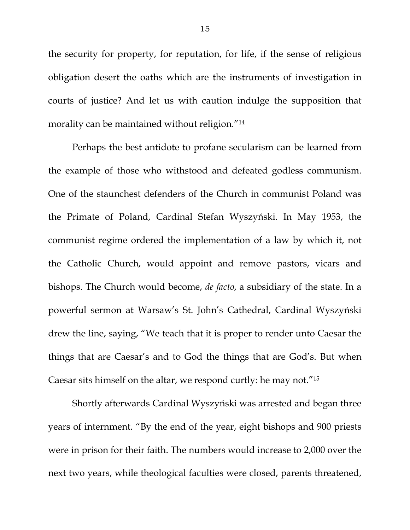the security for property, for reputation, for life, if the sense of religious obligation desert the oaths which are the instruments of investigation in courts of justice? And let us with caution indulge the supposition that morality can be maintained without religion."14

 Perhaps the best antidote to profane secularism can be learned from the example of those who withstood and defeated godless communism. One of the staunchest defenders of the Church in communist Poland was the Primate of Poland, Cardinal Stefan Wyszyński. In May 1953, the communist regime ordered the implementation of a law by which it, not the Catholic Church, would appoint and remove pastors, vicars and bishops. The Church would become, *de facto*, a subsidiary of the state. In a powerful sermon at Warsaw's St. John's Cathedral, Cardinal Wyszyński drew the line, saying, "We teach that it is proper to render unto Caesar the things that are Caesar's and to God the things that are God's. But when Caesar sits himself on the altar, we respond curtly: he may not."15

Shortly afterwards Cardinal Wyszyński was arrested and began three years of internment. "By the end of the year, eight bishops and 900 priests were in prison for their faith. The numbers would increase to 2,000 over the next two years, while theological faculties were closed, parents threatened,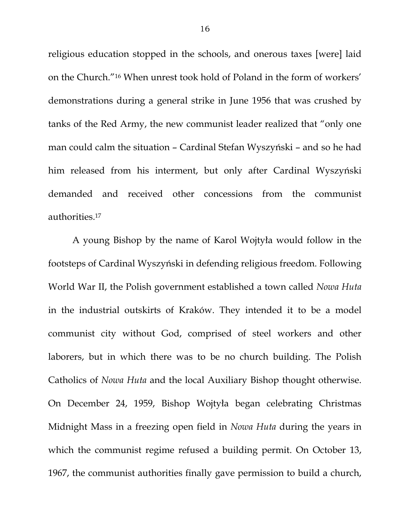religious education stopped in the schools, and onerous taxes [were] laid on the Church."16 When unrest took hold of Poland in the form of workers' demonstrations during a general strike in June 1956 that was crushed by tanks of the Red Army, the new communist leader realized that "only one man could calm the situation – Cardinal Stefan Wyszyński – and so he had him released from his interment, but only after Cardinal Wyszyński demanded and received other concessions from the communist authorities.17

A young Bishop by the name of Karol Wojtyła would follow in the footsteps of Cardinal Wyszyński in defending religious freedom. Following World War II, the Polish government established a town called *Nowa Huta* in the industrial outskirts of Kraków. They intended it to be a model communist city without God, comprised of steel workers and other laborers, but in which there was to be no church building. The Polish Catholics of *Nowa Huta* and the local Auxiliary Bishop thought otherwise. On December 24, 1959, Bishop Wojtyła began celebrating Christmas Midnight Mass in a freezing open field in *Nowa Huta* during the years in which the communist regime refused a building permit. On October 13, 1967, the communist authorities finally gave permission to build a church,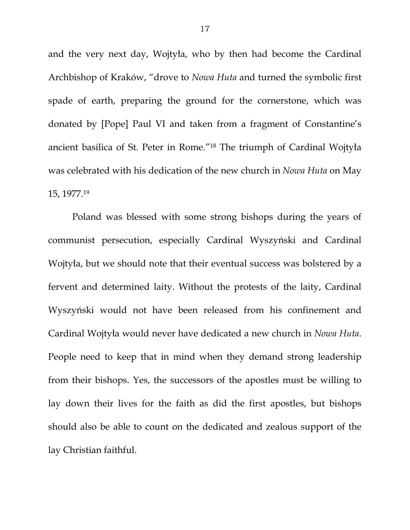and the very next day, Wojtyła, who by then had become the Cardinal Archbishop of Kraków, "drove to *Nowa Huta* and turned the symbolic first spade of earth, preparing the ground for the cornerstone, which was donated by [Pope] Paul VI and taken from a fragment of Constantine's ancient basilica of St. Peter in Rome."18 The triumph of Cardinal Wojtyła was celebrated with his dedication of the new church in *Nowa Huta* on May 15, 1977.19

Poland was blessed with some strong bishops during the years of communist persecution, especially Cardinal Wyszyński and Cardinal Wojtyła, but we should note that their eventual success was bolstered by a fervent and determined laity. Without the protests of the laity, Cardinal Wyszyński would not have been released from his confinement and Cardinal Wojtyła would never have dedicated a new church in *Nowa Huta*. People need to keep that in mind when they demand strong leadership from their bishops. Yes, the successors of the apostles must be willing to lay down their lives for the faith as did the first apostles, but bishops should also be able to count on the dedicated and zealous support of the lay Christian faithful.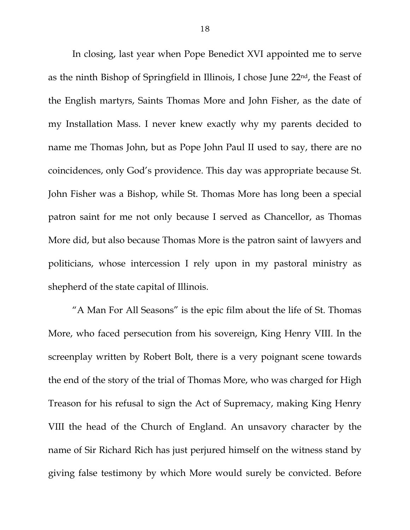In closing, last year when Pope Benedict XVI appointed me to serve as the ninth Bishop of Springfield in Illinois, I chose June 22nd, the Feast of the English martyrs, Saints Thomas More and John Fisher, as the date of my Installation Mass. I never knew exactly why my parents decided to name me Thomas John, but as Pope John Paul II used to say, there are no coincidences, only God's providence. This day was appropriate because St. John Fisher was a Bishop, while St. Thomas More has long been a special patron saint for me not only because I served as Chancellor, as Thomas More did, but also because Thomas More is the patron saint of lawyers and politicians, whose intercession I rely upon in my pastoral ministry as shepherd of the state capital of Illinois.

 "A Man For All Seasons" is the epic film about the life of St. Thomas More, who faced persecution from his sovereign, King Henry VIII. In the screenplay written by Robert Bolt, there is a very poignant scene towards the end of the story of the trial of Thomas More, who was charged for High Treason for his refusal to sign the Act of Supremacy, making King Henry VIII the head of the Church of England. An unsavory character by the name of Sir Richard Rich has just perjured himself on the witness stand by giving false testimony by which More would surely be convicted. Before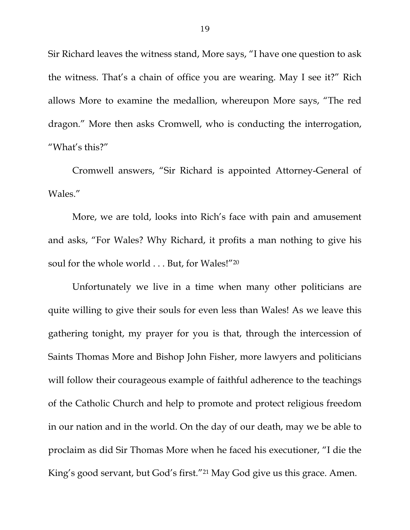Sir Richard leaves the witness stand, More says, "I have one question to ask the witness. That's a chain of office you are wearing. May I see it?" Rich allows More to examine the medallion, whereupon More says, "The red dragon." More then asks Cromwell, who is conducting the interrogation, "What's this?"

 Cromwell answers, "Sir Richard is appointed Attorney-General of Wales."

 More, we are told, looks into Rich's face with pain and amusement and asks, "For Wales? Why Richard, it profits a man nothing to give his soul for the whole world . . . But, for Wales!"20

Unfortunately we live in a time when many other politicians are quite willing to give their souls for even less than Wales! As we leave this gathering tonight, my prayer for you is that, through the intercession of Saints Thomas More and Bishop John Fisher, more lawyers and politicians will follow their courageous example of faithful adherence to the teachings of the Catholic Church and help to promote and protect religious freedom in our nation and in the world. On the day of our death, may we be able to proclaim as did Sir Thomas More when he faced his executioner, "I die the King's good servant, but God's first."21 May God give us this grace. Amen.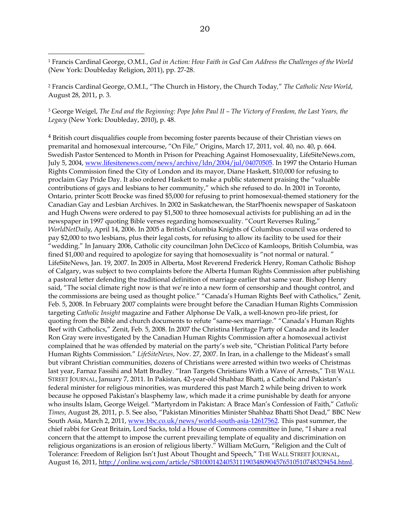$\overline{a}$ 

2 Francis Cardinal George, O.M.I., "The Church in History, the Church Today*,*" *The Catholic New World*, August 28, 2011, p. 3.

3 George Weigel, *The End and the Beginning: Pope John Paul II – The Victory of Freedom, the Last Years, the Legacy* (New York: Doubleday, 2010), p. 48.

4 British court disqualifies couple from becoming foster parents because of their Christian views on premarital and homosexual intercourse, "On File," Origins, March 17, 2011, vol. 40, no. 40, p. 664. Swedish Pastor Sentenced to Month in Prison for Preaching Against Homosexuality, LifeSiteNews.com, July 5, 2004, www.lifesitenews.com/news/archive/ldn/2004/jul/04070505. In 1997 the Ontario Human Rights Commission fined the City of London and its mayor, Diane Haskett, \$10,000 for refusing to proclaim Gay Pride Day. It also ordered Haskett to make a public statement praising the "valuable contributions of gays and lesbians to her community," which she refused to do. In 2001 in Toronto, Ontario, printer Scott Brocke was fined \$5,000 for refusing to print homosexual-themed stationery for the Canadian Gay and Lesbian Archives. In 2002 in Saskatchewan, the StarPhoenix newspaper of Saskatoon and Hugh Owens were ordered to pay \$1,500 to three homosexual activists for publishing an ad in the newspaper in 1997 quoting Bible verses regarding homosexuality. "Court Reverses Ruling," *WorldNetDaily*, April 14, 2006. In 2005 a British Columbia Knights of Columbus council was ordered to pay \$2,000 to two lesbians, plus their legal costs, for refusing to allow its facility to be used for their "wedding." In January 2006, Catholic city councilman John DeCicco of Kamloops, British Columbia, was fined \$1,000 and required to apologize for saying that homosexuality is "not normal or natural. " LifeSiteNews, Jan. 19, 2007. In 2005 in Alberta, Most Reverend Frederick Henry, Roman Catholic Bishop of Calgary, was subject to two complaints before the Alberta Human Rights Commission after publishing a pastoral letter defending the traditional definition of marriage earlier that same year. Bishop Henry said, "The social climate right now is that we're into a new form of censorship and thought control, and the commissions are being used as thought police." "Canada's Human Rights Beef with Catholics," Zenit, Feb. 5, 2008. In February 2007 complaints were brought before the Canadian Human Rights Commission targeting *Catholic Insight* magazine and Father Alphonse De Valk, a well-known pro-life priest, for quoting from the Bible and church documents to refute "same-sex marriage." "Canada's Human Rights Beef with Catholics," Zenit, Feb. 5, 2008. In 2007 the Christina Heritage Party of Canada and its leader Ron Gray were investigated by the Canadian Human Rights Commission after a homosexual activist complained that he was offended by material on the party's web site, "Christian Political Party before Human Rights Commission." *LifeSiteNews*, Nov. 27, 2007. In Iran, in a challenge to the Mideast's small but vibrant Christian communities, dozens of Christians were arrested within two weeks of Christmas last year, Farnaz Fassihi and Matt Bradley. "Iran Targets Christians With a Wave of Arrests," THE WALL STREET JOURNAL, January 7, 2011. In Pakistan, 42-year-old Shahbaz Bhatti, a Catholic and Pakistan's federal minister for religious minorities, was murdered this past March 2 while being driven to work because he opposed Pakistan's blasphemy law, which made it a crime punishable by death for anyone who insults Islam, George Weigel. "Martyrdom in Pakistan: A Brace Man's Confession of Faith," *Catholic Times*, August 28, 2011, p. 5. See also, "Pakistan Minorities Minister Shahbaz Bhatti Shot Dead," BBC New South Asia, March 2, 2011, www.bbc.co.uk/news/world-south-asia-12617562. This past summer, the chief rabbi for Great Britain, Lord Sacks, told a House of Commons committee in June, "I share a real concern that the attempt to impose the current prevailing template of equality and discrimination on religious organizations is an erosion of religious liberty." William McGurn, "Religion and the Cult of Tolerance: Freedom of Religion Isn't Just About Thought and Speech," THE WALL STREET JOURNAL, August 16, 2011, http://online.wsj.com/article/SB10001424053111903480904576510510748329454.html.

<sup>1</sup> Francis Cardinal George, O.M.I., *God in Action: How Faith in God Can Address the Challenges of the World* (New York: Doubleday Religion, 2011), pp. 27-28.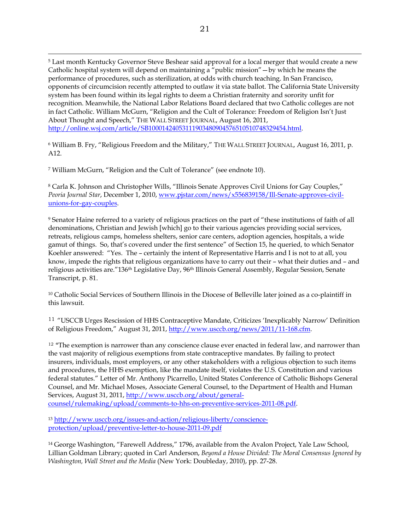5 Last month Kentucky Governor Steve Beshear said approval for a local merger that would create a new Catholic hospital system will depend on maintaining a "public mission"—by which he means the performance of procedures, such as sterilization, at odds with church teaching. In San Francisco, opponents of circumcision recently attempted to outlaw it via state ballot. The California State University system has been found within its legal rights to deem a Christian fraternity and sorority unfit for recognition. Meanwhile, the National Labor Relations Board declared that two Catholic colleges are not in fact Catholic. William McGurn, "Religion and the Cult of Tolerance: Freedom of Religion Isn't Just About Thought and Speech," THE WALL STREET JOURNAL, August 16, 2011, http://online.wsj.com/article/SB10001424053111903480904576510510748329454.html.

6 William B. Fry, "Religious Freedom and the Military," THE WALL STREET JOURNAL, August 16, 2011, p. A12.

7 William McGurn, "Religion and the Cult of Tolerance" (see endnote 10).

 $\overline{a}$ 

8 Carla K. Johnson and Christopher Wills, "Illinois Senate Approves Civil Unions for Gay Couples," *Peoria Journal Star*, December 1, 2010, www.pjstar.com/news/x556839158/Ill-Senate-approves-civilunions-for-gay-couples.

9 Senator Haine referred to a variety of religious practices on the part of "these institutions of faith of all denominations, Christian and Jewish [which] go to their various agencies providing social services, retreats, religious camps, homeless shelters, senior care centers, adoption agencies, hospitals, a wide gamut of things. So, that's covered under the first sentence" of Section 15, he queried, to which Senator Koehler answered: "Yes. The – certainly the intent of Representative Harris and I is not to at all, you know, impede the rights that religious organizations have to carry out their – what their duties and – and religious activities are."136th Legislative Day, 96th Illinois General Assembly, Regular Session, Senate Transcript, p. 81.

<sup>10</sup> Catholic Social Services of Southern Illinois in the Diocese of Belleville later joined as a co-plaintiff in this lawsuit.

<sup>11</sup> "USCCB Urges Rescission of HHS Contraceptive Mandate, Criticizes 'Inexplicably Narrow' Definition of Religious Freedom," August 31, 2011, http://www.usccb.org/news/2011/11-168.cfm.

 $12$  "The exemption is narrower than any conscience clause ever enacted in federal law, and narrower than the vast majority of religious exemptions from state contraceptive mandates. By failing to protect insurers, individuals, most employers, or any other stakeholders with a religious objection to such items and procedures, the HHS exemption, like the mandate itself, violates the U.S. Constitution and various federal statutes." Letter of Mr. Anthony Picarrello, United States Conference of Catholic Bishops General Counsel, and Mr. Michael Moses, Associate General Counsel, to the Department of Health and Human Services, August 31, 2011, http://www.usccb.org/about/generalcounsel/rulemaking/upload/comments-to-hhs-on-preventive-services-2011-08.pdf.

<sup>13</sup> http://www.usccb.org/issues-and-action/religious-liberty/conscienceprotection/upload/preventive-letter-to-house-2011-09.pdf

14 George Washington, "Farewell Address," 1796, available from the Avalon Project, Yale Law School, Lillian Goldman Library; quoted in Carl Anderson, *Beyond a House Divided: The Moral Consensus Ignored by Washington, Wall Street and the Media* (New York: Doubleday, 2010), pp. 27-28.